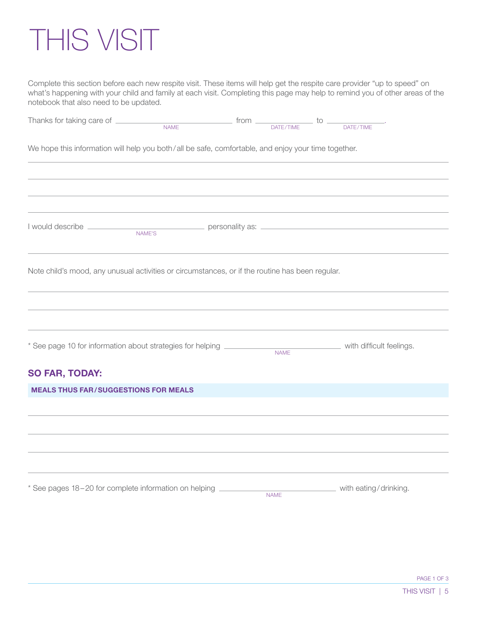## THIS VISIT

Complete this section before each new respite visit. These items will help get the respite care provider "up to speed" on what's happening with your child and family at each visit. Completing this page may help to remind you of other areas of the notebook that also need to be updated.

| Thanks for taking care of __________                                                                | <b>NAME</b> | $from \begin{array}{c} \begin{array}{c} \text{from} \\ \text{DATE/TIME} \end{array} \end{array}$ |                          |
|-----------------------------------------------------------------------------------------------------|-------------|--------------------------------------------------------------------------------------------------|--------------------------|
| We hope this information will help you both/all be safe, comfortable, and enjoy your time together. |             |                                                                                                  |                          |
| NAME'S                                                                                              |             |                                                                                                  |                          |
| Note child's mood, any unusual activities or circumstances, or if the routine has been regular.     |             |                                                                                                  |                          |
| * See page 10 for information about strategies for helping ___________                              |             | <b>NAME</b>                                                                                      | with difficult feelings. |
| <b>SO FAR, TODAY:</b>                                                                               |             |                                                                                                  |                          |
| <b>MEALS THUS FAR/SUGGESTIONS FOR MEALS</b>                                                         |             |                                                                                                  |                          |
|                                                                                                     |             |                                                                                                  |                          |
| * See pages 18-20 for complete information on helping ________                                      |             | <b>NAME</b>                                                                                      | with eating/drinking.    |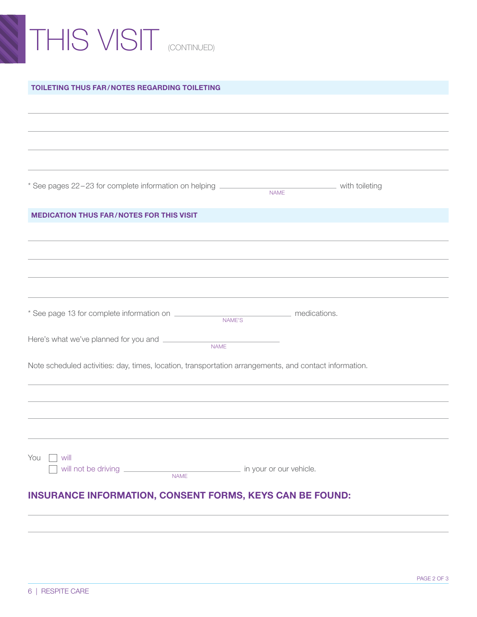# THIS VISIT (CONTINUED)

#### TOILETING THUS FAR/NOTES REGARDING TOILETING

\* See pages 22-23 for complete information on helping **with the analysis of the control of the control of the control** with toileting

#### MEDICATION THUS FAR/NOTES FOR THIS VISIT

\* See page 13 for complete information on medications. NAME'S

NAME

Here's what we've planned for you and  $\frac{1}{\sqrt{1-\frac{1}{\sqrt{1-\frac{1}{\sqrt{1-\frac{1}{\sqrt{1-\frac{1}{\sqrt{1-\frac{1}{\sqrt{1-\frac{1}{\sqrt{1-\frac{1}{\sqrt{1-\frac{1}{\sqrt{1-\frac{1}{\sqrt{1-\frac{1}{\sqrt{1-\frac{1}{\sqrt{1-\frac{1}{\sqrt{1-\frac{1}{\sqrt{1-\frac{1}{\sqrt{1-\frac{1}{\sqrt{1-\frac{1}{\sqrt{1-\frac{1}{\sqrt{1-\frac{1}{\sqrt{1-\frac{1}{\sqrt{1-\frac{$ 

Note scheduled activities: day, times, location, transportation arrangements, and contact information.

NAME

## INSURANCE INFORMATION, CONSENT FORMS, KEYS CAN BE FOUND:

will not be driving **in your or our vehicle.** in your or our vehicle. NAME

You I will